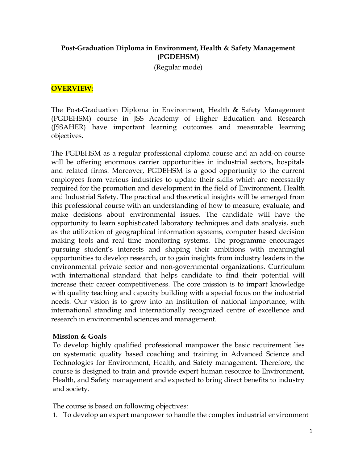## **Post-Graduation Diploma in Environment, Health & Safety Management (PGDEHSM)**

(Regular mode)

#### **OVERVIEW:**

The Post-Graduation Diploma in Environment, Health & Safety Management (PGDEHSM) course in JSS Academy of Higher Education and Research (JSSAHER) have important learning outcomes and measurable learning objectives**.**

The PGDEHSM as a regular professional diploma course and an add-on course will be offering enormous carrier opportunities in industrial sectors, hospitals and related firms. Moreover, PGDEHSM is a good opportunity to the current employees from various industries to update their skills which are necessarily required for the promotion and development in the field of Environment, Health and Industrial Safety. The practical and theoretical insights will be emerged from this professional course with an understanding of how to measure, evaluate, and make decisions about environmental issues. The candidate will have the opportunity to learn sophisticated laboratory techniques and data analysis, such as the utilization of geographical information systems, computer based decision making tools and real time monitoring systems. The programme encourages pursuing student's interests and shaping their ambitions with meaningful opportunities to develop research, or to gain insights from industry leaders in the environmental private sector and non-governmental organizations. Curriculum with international standard that helps candidate to find their potential will increase their career competitiveness. The core mission is to impart knowledge with quality teaching and capacity building with a special focus on the industrial needs. Our vision is to grow into an institution of national importance, with international standing and internationally recognized centre of excellence and research in environmental sciences and management.

#### **Mission & Goals**

To develop highly qualified professional manpower the basic requirement lies on systematic quality based coaching and training in Advanced Science and Technologies for Environment, Health, and Safety management. Therefore, the course is designed to train and provide expert human resource to Environment, Health, and Safety management and expected to bring direct benefits to industry and society.

The course is based on following objectives:

1. To develop an expert manpower to handle the complex industrial environment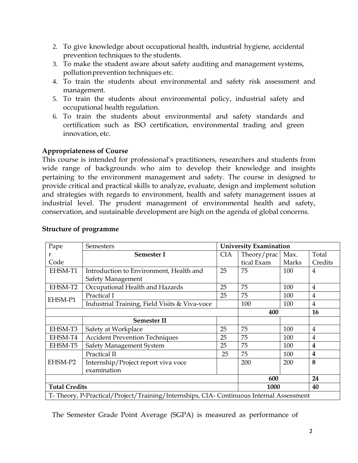- 2. To give knowledge about occupational health, industrial hygiene, accidental prevention techniques to the students.
- 3. To make the student aware about safety auditing and management systems, pollutionprevention techniques etc.
- 4. To train the students about environmental and safety risk assessment and management.
- 5. To train the students about environmental policy, industrial safety and occupational health regulation.
- 6. To train the students about environmental and safety standards and certification such as ISO certification, environmental trading and green innovation, etc.

# **Appropriateness of Course**

This course is intended for professional's practitioners, researchers and students from wide range of backgrounds who aim to develop their knowledge and insights pertaining to the environment management and safety. The course in designed to provide critical and practical skills to analyze, evaluate, design and implement solution and strategies with regards to environment, health and safety management issues at industrial level. The prudent management of environmental health and safety, conservation, and sustainable development are high on the agenda of global concerns.

| Pape                                                                                   | Semesters                                     |            | <b>University Examination</b> |       |                  |
|----------------------------------------------------------------------------------------|-----------------------------------------------|------------|-------------------------------|-------|------------------|
| r                                                                                      | Semester I                                    | <b>CIA</b> | Theory/prac                   | Max.  | Total            |
| Code                                                                                   |                                               |            | tical Exam                    | Marks | Credits          |
| EHSM-T1                                                                                | Introduction to Environment, Health and       | 25         | 75                            | 100   | $\overline{4}$   |
|                                                                                        | Safety Management                             |            |                               |       |                  |
| EHSM-T2                                                                                | Occupational Health and Hazards               | 25         | 75                            | 100   | 4                |
| EHSM-P1                                                                                | Practical I                                   | 25         | 75                            | 100   | 4                |
|                                                                                        | Industrial Training, Field Visits & Viva-voce |            | 100                           | 100   | $\overline{4}$   |
|                                                                                        |                                               |            | 400                           |       | <b>16</b>        |
|                                                                                        | <b>Semester II</b>                            |            |                               |       |                  |
| EHSM-T3                                                                                | Safety at Workplace                           | 25         | 75                            | 100   | $\overline{4}$   |
| EHSM-T4                                                                                | <b>Accident Prevention Techniques</b>         | 25         | 75                            | 100   | $\overline{4}$   |
| EHSM-T5                                                                                | Safety Management System                      | 25         | 75                            | 100   | $\boldsymbol{4}$ |
| EHSM-P2                                                                                | Practical II                                  | 25         | 75                            | 100   | 4                |
|                                                                                        | Internship/Project report viva voce           |            | 200                           | 200   | 8                |
|                                                                                        | examination                                   |            |                               |       |                  |
|                                                                                        |                                               |            | 600                           |       | 24               |
| <b>Total Credits</b>                                                                   |                                               |            | 1000                          |       | 40               |
| T-Theory, P-Practical/Project/Training/Internships, CIA-Continuous Internal Assessment |                                               |            |                               |       |                  |

## **Structure of programme**

The Semester Grade Point Average (SGPA) is measured as performance of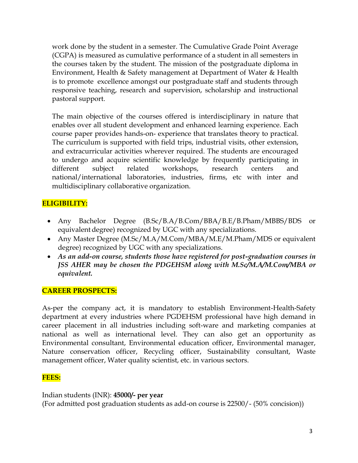work done by the student in a semester. The Cumulative Grade Point Average (CGPA) is measured as cumulative performance of a student in all semesters in the courses taken by the student. The mission of the postgraduate diploma in Environment, Health & Safety management at Department of Water & Health is to promote excellence amongst our postgraduate staff and students through responsive teaching, research and supervision, scholarship and instructional pastoral support.

The main objective of the courses offered is interdisciplinary in nature that enables over all student development and enhanced learning experience. Each course paper provides hands-on- experience that translates theory to practical. The curriculum is supported with field trips, industrial visits, other extension, and extracurricular activities wherever required. The students are encouraged to undergo and acquire scientific knowledge by frequently participating in different subject related workshops, research centers and national/international laboratories, industries, firms, etc with inter and multidisciplinary collaborative organization.

# **ELIGIBILITY:**

- Any Bachelor Degree (B.Sc/B.A/B.Com/BBA/B.E/B.Pham/MBBS/BDS or equivalent degree) recognized by UGC with any specializations.
- Any Master Degree (M.Sc/M.A/M.Com/MBA/M.E/M.Pham/MDS or equivalent degree) recognized by UGC with any specializations.
- *As an add-on course, students those have registered for post-graduation courses in JSS AHER may be chosen the PDGEHSM along with M.Sc/M.A/M.Com/MBA or equivalent.*

## **CAREER PROSPECTS:**

As-per the company act, it is mandatory to establish Environment-Health-Safety department at every industries where PGDEHSM professional have high demand in career placement in all industries including soft-ware and marketing companies at national as well as international level. They can also get an opportunity as Environmental consultant, Environmental education officer, Environmental manager, Nature conservation officer, Recycling officer, Sustainability consultant, Waste management officer, Water quality scientist, etc. in various sectors.

## **FEES:**

Indian students (INR): **45000/- per year**  (For admitted post graduation students as add-on course is 22500/- (50% concision))